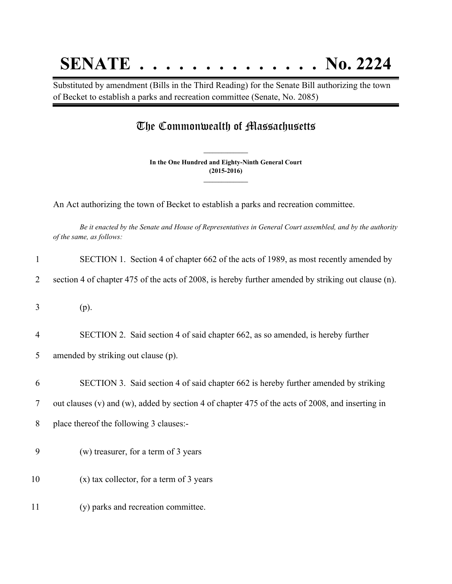## **SENATE . . . . . . . . . . . . . . No. 2224**

Substituted by amendment (Bills in the Third Reading) for the Senate Bill authorizing the town of Becket to establish a parks and recreation committee (Senate, No. 2085)

## The Commonwealth of Massachusetts

**In the One Hundred and Eighty-Ninth General Court (2015-2016) \_\_\_\_\_\_\_\_\_\_\_\_\_\_\_**

**\_\_\_\_\_\_\_\_\_\_\_\_\_\_\_**

An Act authorizing the town of Becket to establish a parks and recreation committee.

Be it enacted by the Senate and House of Representatives in General Court assembled, and by the authority *of the same, as follows:*

| $\mathbf{1}$   | SECTION 1. Section 4 of chapter 662 of the acts of 1989, as most recently amended by                |
|----------------|-----------------------------------------------------------------------------------------------------|
| 2              | section 4 of chapter 475 of the acts of 2008, is hereby further amended by striking out clause (n). |
| 3              | (p).                                                                                                |
| $\overline{4}$ | SECTION 2. Said section 4 of said chapter 662, as so amended, is hereby further                     |
| 5              | amended by striking out clause (p).                                                                 |
| 6              | SECTION 3. Said section 4 of said chapter 662 is hereby further amended by striking                 |
| 7              | out clauses (v) and (w), added by section 4 of chapter 475 of the acts of 2008, and inserting in    |
| 8              | place thereof the following 3 clauses:-                                                             |
| 9              | (w) treasurer, for a term of 3 years                                                                |
| 10             | $(x)$ tax collector, for a term of 3 years                                                          |
| 11             | (y) parks and recreation committee.                                                                 |